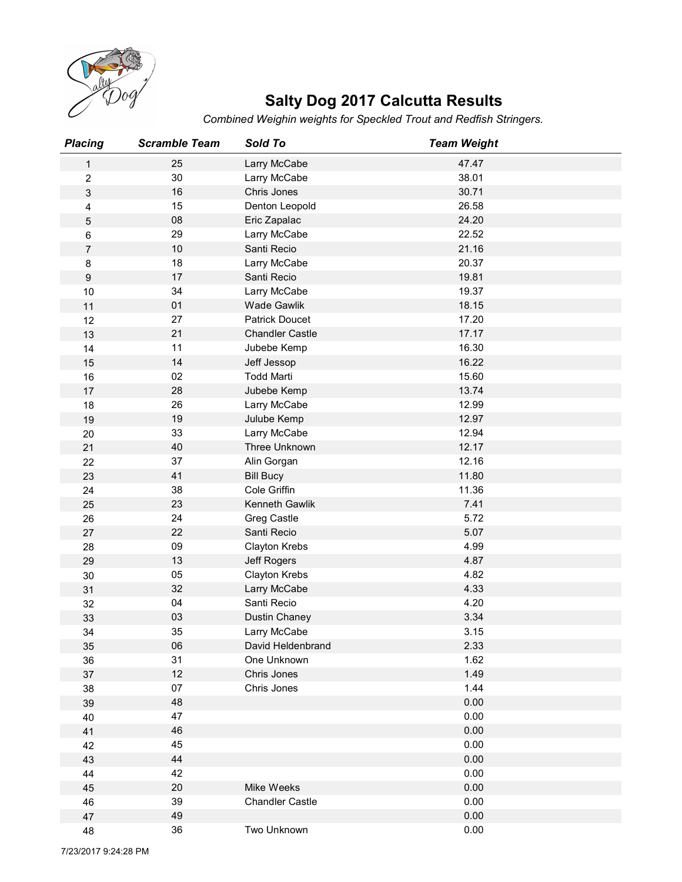

## Salty Dog 2017 Calcutta Results

|                  |                      |                                | <b>Salty Dog 2017 Calcutta Results</b>                             |  |
|------------------|----------------------|--------------------------------|--------------------------------------------------------------------|--|
|                  |                      |                                | Combined Weighin weights for Speckled Trout and Redfish Stringers. |  |
| <b>Placing</b>   | <b>Scramble Team</b> | Sold To                        | <b>Team Weight</b>                                                 |  |
| $\mathbf{1}$     | 25                   | Larry McCabe                   | 47.47                                                              |  |
| $\overline{c}$   | 30                   | Larry McCabe                   | 38.01                                                              |  |
| 3                | 16<br>15             | Chris Jones                    | 30.71<br>26.58                                                     |  |
| 4<br>5           | 08                   | Denton Leopold<br>Eric Zapalac | 24.20                                                              |  |
| 6                | 29                   | Larry McCabe                   | 22.52                                                              |  |
| $\overline{7}$   | 10                   | Santi Recio                    | 21.16                                                              |  |
| 8                | 18                   | Larry McCabe                   | 20.37                                                              |  |
| $\boldsymbol{9}$ | 17                   | Santi Recio                    | 19.81                                                              |  |
| 10               | 34                   | Larry McCabe                   | 19.37<br>18.15                                                     |  |
| 11<br>12         | 01<br>27             | Wade Gawlik<br>Patrick Doucet  | 17.20                                                              |  |
| 13               | 21                   | <b>Chandler Castle</b>         | 17.17                                                              |  |
| 14               | 11                   | Jubebe Kemp                    | 16.30                                                              |  |
| 15               | 14                   | Jeff Jessop                    | 16.22                                                              |  |
| 16               | $02\,$               | <b>Todd Marti</b>              | 15.60                                                              |  |
| 17               | 28<br>$26\,$         | Jubebe Kemp                    | 13.74<br>12.99                                                     |  |
| 18<br>19         | 19                   | Larry McCabe<br>Julube Kemp    | 12.97                                                              |  |
| 20               | $33\,$               | Larry McCabe                   | 12.94                                                              |  |
| 21               | $40\,$               | Three Unknown                  | 12.17                                                              |  |
| 22               | $37\,$               | Alin Gorgan                    | 12.16                                                              |  |
| 23               | $41$                 | <b>Bill Bucy</b>               | 11.80                                                              |  |
| 24               | 38                   | Cole Griffin                   | 11.36                                                              |  |
| 25<br>26         | 23<br>24             | Kenneth Gawlik<br>Greg Castle  | 7.41<br>5.72                                                       |  |
| $27\,$           | $22\,$               | Santi Recio                    | 5.07                                                               |  |
| 28               | 09                   | Clayton Krebs                  | 4.99                                                               |  |
| 29               | 13                   | Jeff Rogers                    | 4.87                                                               |  |
| $30\,$           | $05\,$               | Clayton Krebs                  | 4.82                                                               |  |
| 31               | 32                   | Larry McCabe                   | 4.33                                                               |  |
| 32<br>33         | $04\,$<br>03         | Santi Recio<br>Dustin Chaney   | 4.20<br>3.34                                                       |  |
| $34\,$           | 35                   | Larry McCabe                   | 3.15                                                               |  |
| $35\,$           | 06                   | David Heldenbrand              | 2.33                                                               |  |
| 36               | 31                   | One Unknown                    | 1.62                                                               |  |
| $37\,$           | 12                   | Chris Jones                    | 1.49                                                               |  |
| 38               | $07\,$               | Chris Jones                    | 1.44                                                               |  |
| 39<br>40         | 48<br>47             |                                | 0.00<br>0.00                                                       |  |
| 41               | $\sqrt{46}$          |                                | 0.00                                                               |  |
| 42               | 45                   |                                | 0.00                                                               |  |
| 43               | 44                   |                                | 0.00                                                               |  |
| 44               | 42                   |                                | 0.00                                                               |  |
| 45               | $20\,$               | Mike Weeks                     | 0.00                                                               |  |
| 46               | $39\,$               | <b>Chandler Castle</b>         | 0.00                                                               |  |
| 47               | 49<br>36             | Two Unknown                    | 0.00<br>$0.00\,$                                                   |  |
| 48               |                      |                                |                                                                    |  |